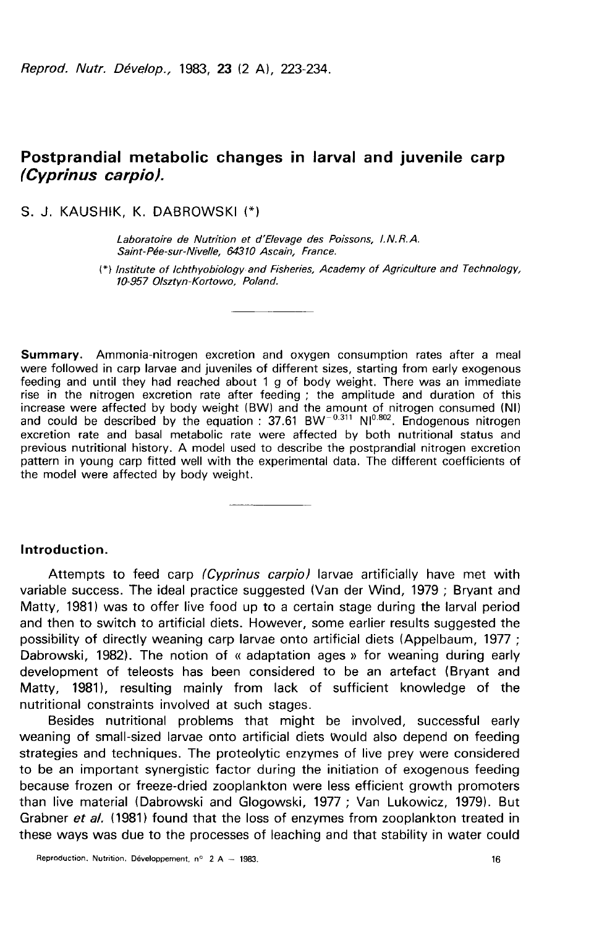# Postprandial metabolic changes in larval and juvenile carp (Cyprinus carpio).

S. J. KAUSHIK, K. DABROWSKI (\*)

Laboratoire de Nutrition et d'Elevage des Poissons, l. N. R. A. Saint-Pée-sur-Nivelle, 64310 Ascain, France.

1 1 K, K. DABROWSKI (\*)<br>1 - Hik, K. DABROWSKI (\*)<br>1 - Laboratoire de Nutrition et d'Elevage des Poissons, I.N.R.A.<br>1 - Saint-Pée-sur-Nivelle, 64310 Ascain, France.<br>10-957 Olsztyn-Kortowo, Poland. f0-957 0/sztyn-Kortowo, Poland.

Summary. Ammonia-nitrogen excretion and oxygen consumption rates after a meal were followed in carp larvae and juveniles of different sizes, starting from early exogenous feeding and until they had reached about 1 g of body weight. There was an immediate rise in the nitrogen excretion rate after feeding ; the amplitude and duration of this increase were affected by body weight (BW) and the amount of nitrogen consumed (N!) and could be described by the equation :  $37.61$  BW<sup>-0.311</sup> Nl<sup>0.802</sup>. Endogenous nitrogen excretion rate and basal metabolic rate were affected by both nutritional status and previous nutritional history. A model used to describe the postprandial nitrogen excretion pattern in young carp fitted well with the experimental data. The different coefficients of the model were affected by body weight.

#### Introduction.

Attempts to feed carp (Cyprinus carpio) larvae artificially have met with variable success. The ideal practice suggested (Van der Wind, 1979 ; Bryant and Matty, 1981) was to offer live food up to a certain stage during the larval period and then to switch to artificial diets. However, some earlier results suggested the possibility of directly weaning carp larvae onto artificial diets (Appelbaum, 1977 ; Dabrowski, 1982). The notion of « adaptation ages » for weaning during early development of teleosts has been considered to be an artefact (Bryant and Matty, 1981), resulting mainly from lack of sufficient knowledge of the nutritional constraints involved at such stages.

Besides nutritional problems that might be involved, successful early weaning of small-sized larvae onto artificial diets Would also depend on feeding strategies and techniques. The proteolytic enzymes of live prey were considered to be an important synergistic factor during the initiation of exogenous feeding because frozen or freeze-dried zooplankton were less efficient growth promoters than live material (Dabrowski and Glogowski, 1977 ; Van Lukowicz, 1979). But Grabner et al. (1981) found that the loss of enzymes from zooplankton treated in these ways was due to the processes of leaching and that stability in water could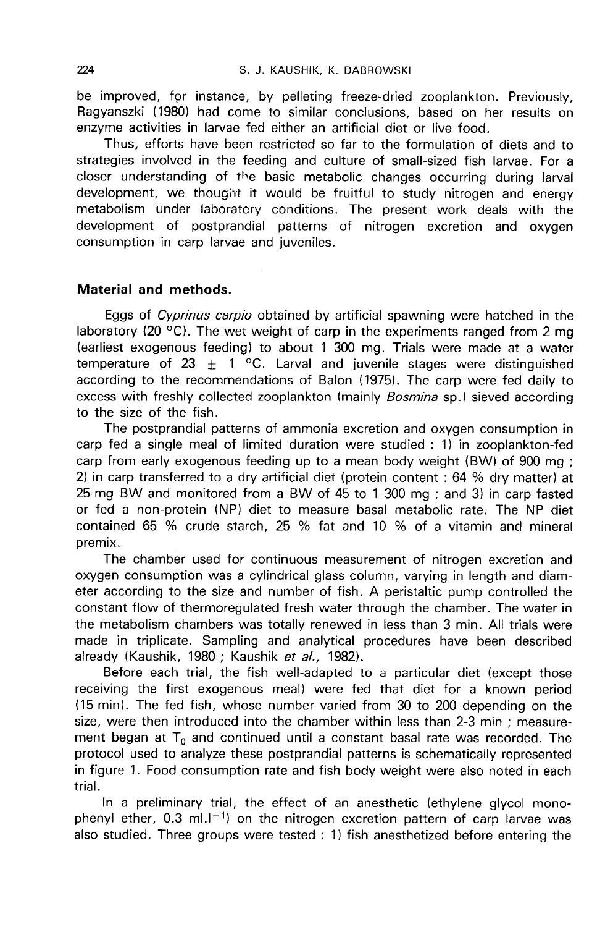be improved, for instance, by pelleting freeze-dried zooplankton. Previously, Ragyanszki (1980) had come to similar conclusions, based on her results on enzyme activities in larvae fed either an artificial diet or live food.

Thus, efforts have been restricted so far to the formulation of diets and to strategies involved in the feeding and culture of small-sized fish larvae. For a closer understanding of the basic metabolic changes occurring during larval development, we thought it would be fruitful to study nitrogen and energy metabolism under laboratory conditions. The present work deals with the development of postprandial patterns of nitrogen excretion and oxygen consumption in carp larvae and juveniles.

## Material and methods.

Eggs of Cyprinus carpio obtained by artificial spawning were hatched in the laboratory (20 °C). The wet weight of carp in the experiments ranged from 2 mg (earliest exogenous feeding) to about 1 300 mg. Trials were made at a water temperature of 23  $\pm$  1 °C. Larval and juvenile stages were distinguished according to the recommendations of Balon (1975). The carp were fed daily to excess with freshly collected zooplankton (mainly *Bosmina* sp.) sieved according to the size of the fish.

The postprandial patterns of ammonia excretion and oxygen consumption in carp fed a single meal of limited duration were studied : 1) in zooplankton-fed carp from early exogenous feeding up to a mean body weight (BW) of 900 mg ; 2) in carp transferred to a dry artificial diet (protein content : 64 % dry matter) at 25-mg BW and monitored from a BW of 45 to 1 300 mg ; and 3) in carp fasted or fed a non-protein (NP) diet to measure basal metabolic rate. The NP diet contained 65 % crude starch, 25 % fat and 10 % of a vitamin and mineral premix.

The chamber used for continuous measurement of nitrogen excretion and oxygen consumption was a cylindrical glass column, varying in length and diameter according to the size and number of fish. A peristaltic pump controlled the constant flow of thermoregulated fresh water through the chamber. The water in the metabolism chambers was totally renewed in less than 3 min. All trials were made in triplicate. Sampling and analytical procedures have been described already (Kaushik, 1980; Kaushik et al., 1982).

Before each trial, the fish well-adapted to a particular diet (except those receiving the first exogenous meal) were fed that diet for a known period (15 min). The fed fish, whose number varied from 30 to 200 depending on the size, were then introduced into the chamber within less than 2-3 min ; measurement began at  $T_0$  and continued until a constant basal rate was recorded. The protocol used to analyze these postprandial patterns is schematically represented in figure 1. Food consumption rate and fish body weight were also noted in each trial.

In a preliminary trial, the effect of an anesthetic (ethylene glycol monophenyl ether,  $0.3$  ml. $I<sup>-1</sup>$ ) on the nitrogen excretion pattern of carp larvae was also studied. Three groups were tested : 1) fish anesthetized before entering the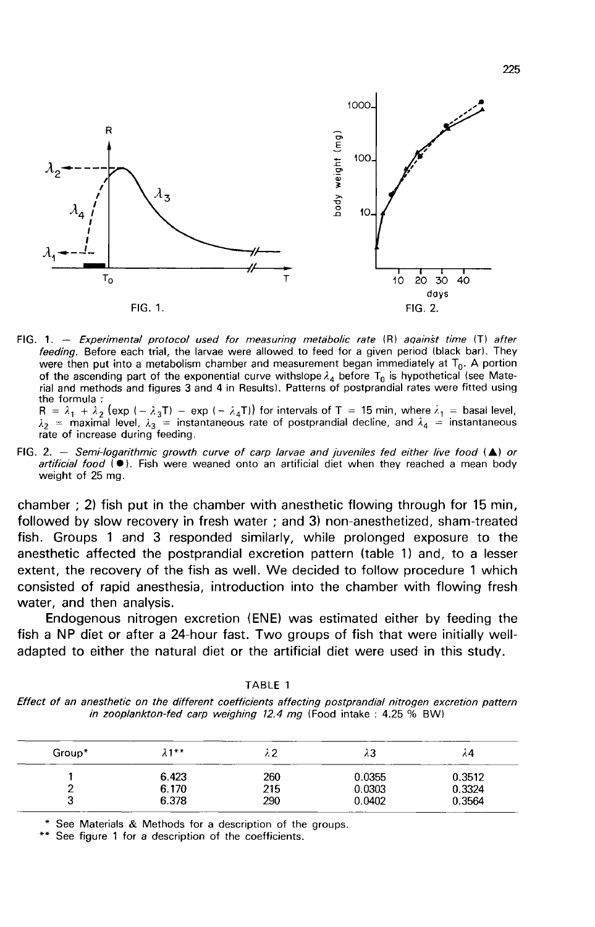

FIG. 1. - Experimental protocol used for measuring metabolic rate (R) against time (T) after feeding. Before each trial, the larvae were allowed to feed for a given period (black bar). They were then put into a metabolism chamber and measurement began immediately at  $T_0$ . A portion of the ascending part of the exponential curve withslope  $\lambda_4$  before  $T_0$  is hypothetical (see Material and methods and figures 3 and 4 in Results). Patterns of postprandial rates were fitted using the formula :

 $R = \lambda_1 + \lambda_2$  (exp  $(-\lambda_3 T)$  - exp  $(-\lambda_4 T)$ ) for intervals of T = 15 min, where  $\lambda_1$  = basal level,  $\lambda_2$  = maximal level,  $\lambda_3$  = instantaneous rate of postprandial decline, and  $\lambda_4$  = instantaneous rate of increase during feeding.

FIG. 2. - Semi-logarithmic growth curve of carp larvae and juveniles fed either live food  $(A)$  or artificial food (.). Fish were weaned onto an artificial diet when they reached a mean body weight of 25 mg.

chamber; 2) fish put in the chamber with anesthetic flowing through for 15 min, followed by slow recovery in fresh water; and 3) non-anesthetized, sham-treated fish. Groups 1 and 3 responded similarly, while prolonged exposure to the anesthetic affected the postprandial excretion pattern (table 1) and, to a lesser extent, the recovery of the fish as well. We decided to follow procedure 1 which consisted of rapid anesthesia, introduction into the chamber with flowing fresh water, and then analysis.

Endogenous nitrogen excretion (ENE) was estimated either by feeding the fish a NP diet or after a 24-hour fast. Two groups of fish that were initially welladapted to either the natural diet or the artificial diet were used in this study.

TABLE 1

Effect of an anesthetic on the different coefficients affecting postprandial nitrogen excretion pattern in zooplankton-fed carp weighing 12.4 mg (Food intake: 4.25 % BW)

| Group* | $\lambda^{1**}$ |     | ۸3     | ۸4     |
|--------|-----------------|-----|--------|--------|
|        | 6.423           | 260 | 0.0355 | 0.3512 |
|        | 6.170           | 215 | 0.0303 | 0.3324 |
| ت      | 6.378           | 290 | 0.0402 | 0.3564 |

\* See Materials & Methods for a description of the groups.

See figure 1 for a description of the coefficients.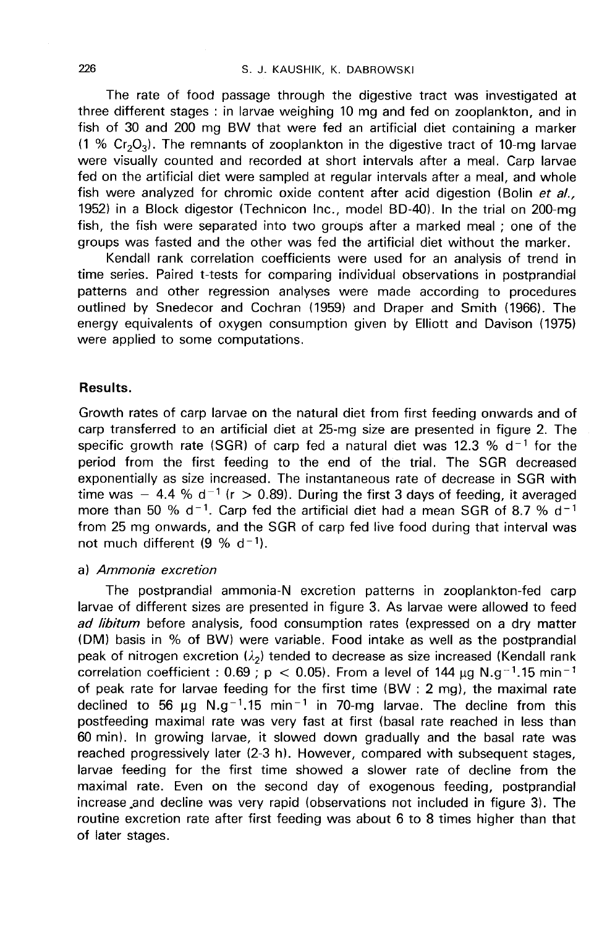The rate of food passage through the digestive tract was investigated at three different stages : in larvae weighing 10 mg and fed on zooplankton, and in fish of 30 and 200 mg BW that were fed an artificial diet containing a marker (1 % Cr<sub>2</sub>O<sub>3</sub>). The remnants of zooplankton in the digestive tract was investigated at<br>fish of 30 and 200 mg BW that were fed an artificial diet containing a marker<br>(1 % Cr<sub>2</sub>O<sub>3</sub>). The remnants of zooplankton in the dig were visually counted and recorded at short intervals after a meal. Carp larvae fed on the artificial diet were sampled at regular intervals after a meal, and whole fish were analyzed for chromic oxide content after acid digestion (Bolin et  $d_{i,j}$ 1952) in a Block digestor (Technicon Inc., model BD-40). In the trial on 200-mg fish, the fish were separated into two groups after a marked meal ; one of the groups was fasted and the other was fed the artificial diet without the marker.

Kendall rank correlation coefficients were used for an analysis of trend in time series. Paired t-tests for comparing individual observations in postprandial patterns and other regression analyses were made according to procedures outlined by Snedecor and Cochran (1959) and Draper and Smith (1966). The energy equivalents of oxygen consumption given by Elliott and Davison (1975) were applied to some computations.

### Results.

Growth rates of carp larvae on the natural diet from first feeding onwards and of carp transferred to an artificial diet at 25-mg size are presented in figure 2. The specific growth rate (SGR) of carp fed a natural diet was 12.3 %  $d^{-1}$  for the period from the first feeding to the end of the trial. The SGR decreased exponentially as size increased. The instantaneous rate of decrease in SGR with time was - 4.4 % d<sup>-1</sup> (r > 0.89). During the first 3 days of feeding, it averaged more than 50 % d<sup>-1</sup>. Carp fed the artificial diet had a mean SGR of 8.7 % d<sup>-1</sup> from 25 mg onwards, and the SGR of carp fed live food during that interval was not much different  $(9 \% d^{-1})$ .

### a) Ammonia excretion

The postprandial ammonia-N excretion patterns in zooplankton-fed carp larvae of different sizes are presented in figure 3. As larvae were allowed to feed ad libitum before analysis, food consumption rates (expressed on a dry matter (DM) basis in % of BW) were variable. Food intake as well as the postprandial peak of nitrogen excretion  $(\lambda_2)$  tended to decrease as size increased (Kendall rank correlation coefficient : 0.69 ;  $p < 0.05$ ). From a level of 144  $\mu$ q N. $q^{-1}$ .15 min<sup>-1</sup> of peak rate for larvae feeding for the first time (BW : 2 mg), the maximal rate declined to 56  $\mu$ g N.g<sup>-1</sup>.15 min<sup>-1</sup> in 70-mg larvae. The decline from this postfeeding maximal rate was very fast at first (basal rate reached in less than 60 min). In growing larvae, it slowed down gradually and the basal rate was reached progressively later (2-3 h). However, compared with subsequent stages, larvae feeding for the first time showed a slower rate of decline from the maximal rate. Even on the second day of exogenous feeding, postprandial increase .and decline was very rapid (observations not included in figure 3). The routine excretion rate after first feeding was about 6 to 8 times higher than that of later stages.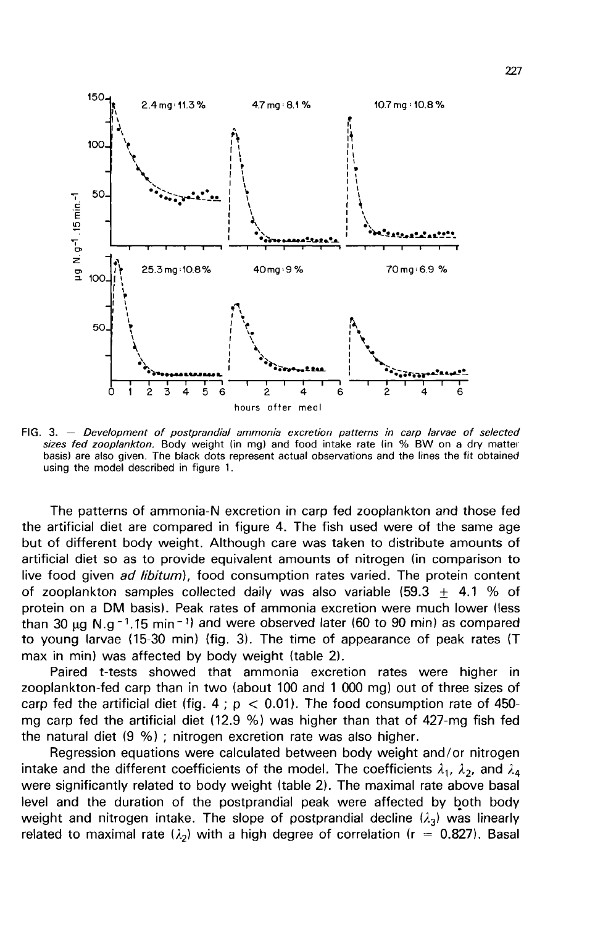

FIG. 3. - Development of postprandial ammonia excretion patterns in carp larvae of selected sizes fed zooplankton. Body weight (in mg) and food intake rate (in % BW on a dry matter basis) are also given. The black dots represent actual observations and the lines the fit obtained using the model described in figure 1.

The patterns of ammonia-N excretion in carp fed zooplankton and those fed the artificial diet are compared in figure 4. The fish used were of the same age but of different body weight. Although care was taken to distribute amounts of artificial diet so as to provide equivalent amounts of nitrogen (in comparison to live food given ad libitum), food consumption rates varied. The protein content of zooplankton samples collected daily was also variable (59.3  $\pm$  4.1 % of protein on a DM basis). Peak rates of ammonia excretion were much lower (less than 30  $\mu$ g N.g<sup>-1</sup>.15 min<sup>-1</sup>) and were observed later (60 to 90 min) as compared to young larvae (15-30 min) (fig. 3). The time of appearance of peak rates (T max in min) was affected by body weight (table 2).

Paired t-tests showed that ammonia excretion rates were higher in zooplankton-fed carp than in two (about 100 and 1 000 mg) out of three sizes of carp fed the artificial diet (fig. 4;  $p < 0.01$ ). The food consumption rate of 450mg carp fed the artificial diet (12.9 %) was higher than that of 427-mg fish fed the natural diet (9 %) ; nitrogen excretion rate was also higher.

Regression equations were calculated between body weight and/or nitrogen intake and the different coefficients of the model. The coefficients  $\lambda_1$ ,  $\lambda_2$ , and  $\lambda_4$  were significantly related to body weight (table 2). The maximal rate above basal level and the duration of the postprandial peak were affected by both body weight and nitrogen intake. The slope of postprandial decline  $(\lambda_3)$  was linearly related to maximal rate ( $\lambda_2$ ) with a high degree of correlation (r = 0.827). Basal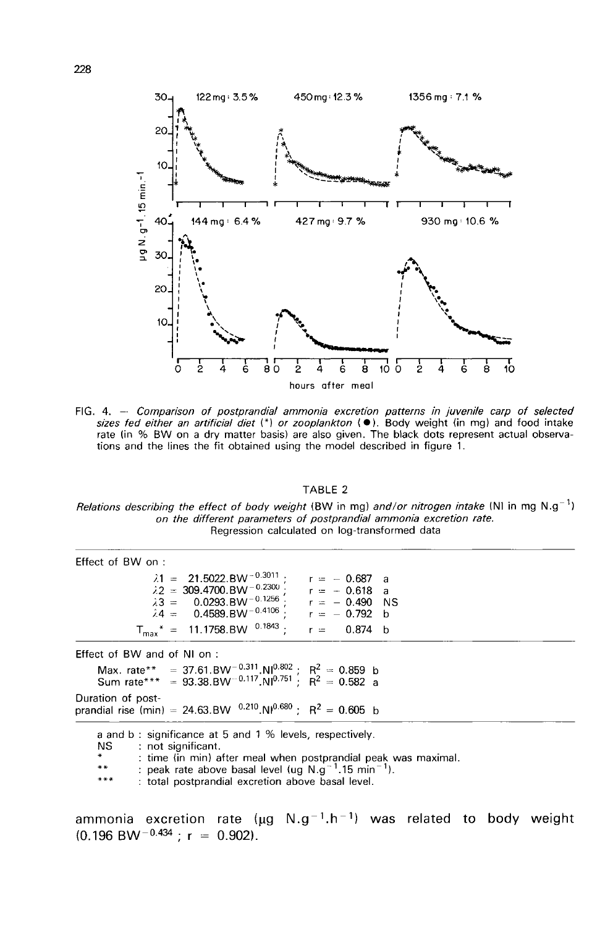

FIG. 4. - Comparison of postprandial ammonia excretion patterns in juvenile carp of selected sizes fed either an artificial diet  $(*)$  or zooplankton  $(*)$ . Body weight (in mg) and food intake rate (in % BW on a dry matter ba tions and the lines the fit obtained using the model described in figure 1.

#### TABLE<sub>2</sub>

Relations describing the effect of body weight (BW in mg) and/or nitrogen intake (NI in mg N.g<sup>-1</sup>) on the different parameters of postprandial ammonia excretion rate. Regression calculated on log-transformed data

| Effect of BW on :                                                                                                                                                                                                                                                                                                                      |                                 |
|----------------------------------------------------------------------------------------------------------------------------------------------------------------------------------------------------------------------------------------------------------------------------------------------------------------------------------------|---------------------------------|
| $\lambda$ 1 = 21.5022.BW <sup>-0.3011</sup> ;<br>$\lambda$ 2 = 309.4700.BW <sup>-0.2300</sup> :<br>$\lambda$ 2 = 309.4700.BW <sup>-0.2300</sup> ; $r = -0.618$ a<br>$\lambda$ 3 = 0.0293.BW <sup>-0.1256</sup> ; $r = -0.490$ NS<br>$\lambda$ 4 = 0.4589.BW <sup>-0.4106</sup> ; $r = -0.792$ b<br>$T_{max}^* = 11.1758.BW^{0.1843}$ : | $r = -0.687$ a<br>$r = 0.874$ b |
| Effect of BW and of NI on:                                                                                                                                                                                                                                                                                                             |                                 |
| Max. rate** = 37.61.BW <sup>-0.311</sup> .NI <sup>0.802</sup> ; R <sup>2</sup> = 0.859 b<br>Sum rate*** = 93.38.BW <sup>-0.117</sup> .NI <sup>0.751</sup> ; R <sup>2</sup> = 0.582 a                                                                                                                                                   |                                 |
| Duration of post-<br>prandial rise (min) = 24.63.BW $^{0.210}$ .NI $^{0.680}$ ; R <sup>2</sup> = 0.605 b                                                                                                                                                                                                                               |                                 |
| a and b: significance at 5 and 1 % levels, respectively.<br>NS.<br>: not significant.<br>$*$<br>: time (in min) after meal when postprandial peak was maximal.<br>: peak rate above basal level (ug N.g <sup>-1</sup> .15 min <sup>-1</sup> ).<br>**<br>***<br>: total postprandial excretion above basal level.                       |                                 |

ammonia excretion rate ( $\mu g$  N.g<sup>-1</sup>.h<sup>-1</sup>) was related to body weight  $(0.196$  BW<sup>-0.434</sup>; r = 0.902).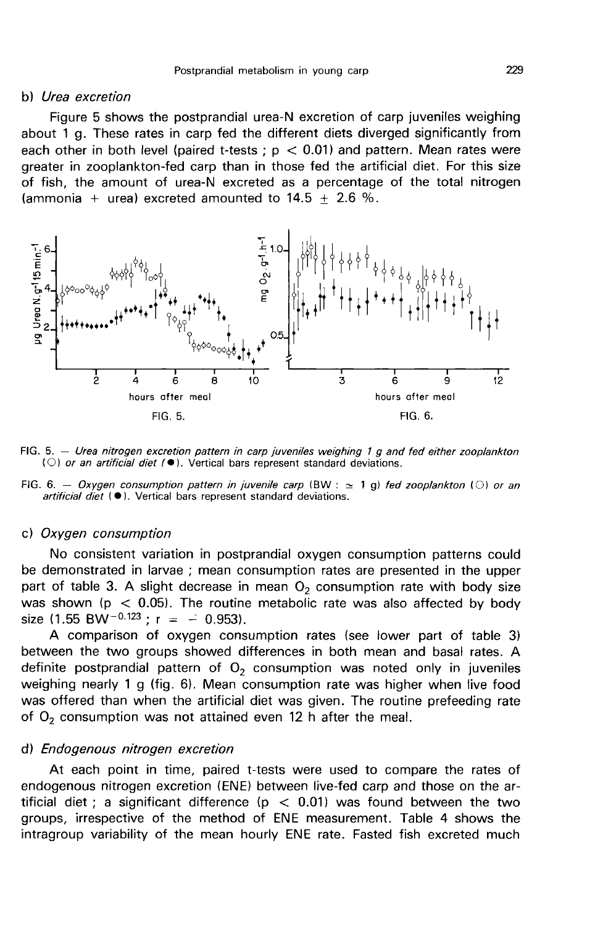#### b) Urea excretion

Figure 5 shows the postprandial urea-N excretion of carp juveniles weighing about 1 g. These rates in carp fed the different diets diverged significantly from each other in both level (paired t-tests ;  $p < 0.01$ ) and pattern. Mean rates were greater in zooplankton-fed carp than in those fed the artificial diet. For this size of fish, the amount of urea-N excreted as a percentage of the total nitrogen (ammonia + urea) excreted amounted to  $14.5 \pm 2.6$  %.



FIG. 5. - Urea nitrogen excretion pattern in carp juveniles weighing 1 g and fed either zooplankton (O) or an artificial diet ( $\bullet$ ). Vertical bars represent standard deviations.

FIG. 6. - Oxygen consumption pattern in juvenile carp (BW :  $\approx$  1 g) fed zooplankton ( $\circ$ ) or an artificial diet  $(\bullet)$ . Vertical bars represent standard deviations.

### c) Oxygen consumption

No consistent variation in postprandial oxygen consumption patterns could be demonstrated in larvae ; mean consumption rates are presented in the upper part of table 3. A slight decrease in mean  $O<sub>2</sub>$  consumption rate with body size was shown ( $p < 0.05$ ). The routine metabolic rate was also affected by body size (1.55 BW<sup>-0.123</sup>; r = - 0.953).

A comparison of oxygen consumption rates (see lower part of table 3) between the two groups showed differences in both mean and basal rates. A definite postprandial pattern of  $O<sub>2</sub>$  consumption was noted only in juveniles weighing nearly 1 g (fig. 6). Mean consumption rate was higher when live food was offered than when the artificial diet was given. The routine prefeeding rate of  $O<sub>2</sub>$  consumption was not attained even 12 h after the meal.

#### d) Endogenous nitrogen excretion

At each point in time, paired t-tests were used to compare the rates of endogenous nitrogen excretion (ENE) between live-fed carp and those on the artificial diet ; a significant difference ( $p < 0.01$ ) was found between the two groups, irrespective of the method of ENE measurement. Table 4 shows the intragroup variability of the mean hourly ENE rate. Fasted fish excreted much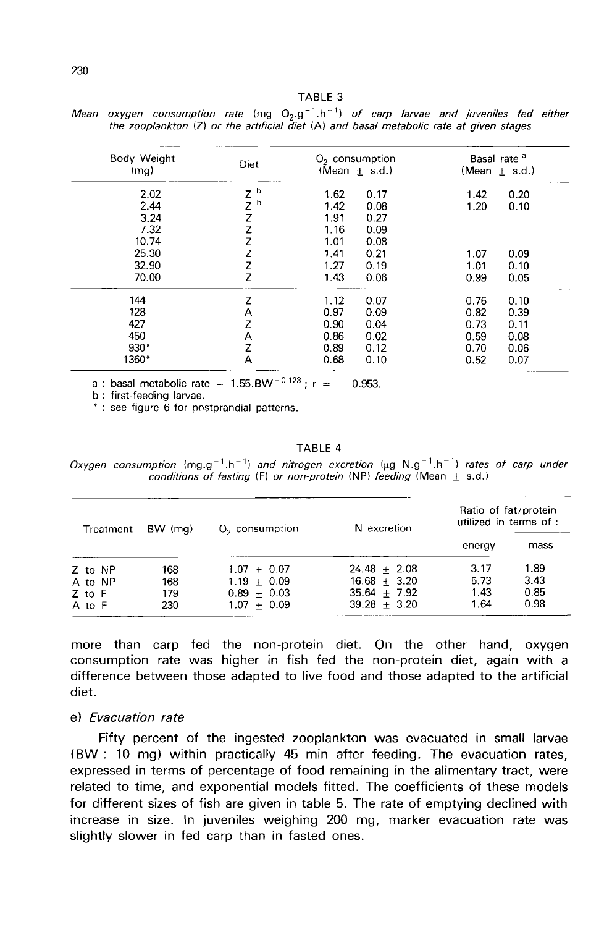| Body Weight<br>(mq) | Diet   | $O2$ consumption<br>(Mean $\pm$ s.d.) | Basal rate <sup>a</sup><br>(Mean $\pm$ s.d.) |
|---------------------|--------|---------------------------------------|----------------------------------------------|
| 2.02                | b<br>Z | 1.62<br>0.17                          | 1.42<br>0.20                                 |
| 2.44                | Z<br>b | 1.42<br>0.08                          | 1.20<br>0.10                                 |
| 3.24                | Z      | 1.91<br>0.27                          |                                              |
| 7.32                | Z      | 1.16<br>0.09                          |                                              |
| 10.74               | Z      | 1.01<br>0.08                          |                                              |
| 25.30               | Z      | 1.41<br>0.21                          | 1.07<br>0.09                                 |
| 32.90               | Z      | 1.27<br>0.19                          | 1.01<br>0.10                                 |
| 70.00               | Z      | 1.43<br>0.06                          | 0.99<br>0.05                                 |
| 144                 | Z      | 1.12<br>0.07                          | 0.76<br>0.10                                 |
| 128                 | Α      | 0.97<br>0.09                          | 0.82<br>0.39                                 |
| 427                 | z      | 0.90<br>0.04                          | 0.73<br>0.11                                 |
| 450                 | А      | 0.86<br>0.02                          | 0.59<br>0.08                                 |
| $930*$              | Z      | 0.89<br>0.12                          | 0.70<br>0.06                                 |
| 1360*               | A      | 0.68<br>0.10                          | 0.52<br>0.07                                 |
|                     |        |                                       |                                              |

Mean oxygen consumption rate (mg  $Q_2 \cdot q^{-1} \cdot h^{-1}$ ) of carp larvae and juveniles fed either the zooplankton (Z) or the artificial diet (A) and basal metabolic rate at given stages

a : basal metabolic rate =  $1.55.BW^{-0.123}$  : r = - 0.953.

b : first-feeding larvae.

\*: see figure 6 for postprandial patterns.

#### TABLE 4

Oxygen consumption  $(mg.g^{-1}.h^{-1})$  and nitrogen excretion  $(\mu g N.g^{-1}.h^{-1})$  rates of carp under conditions of fasting (F) or non-protein (NP) feeding (Mean  $\pm$  s.d.)

| BW (mg)<br>Treatment |     | $O2$ consumption | N excretion    | Ratio of fat/protein<br>utilized in terms of : |      |
|----------------------|-----|------------------|----------------|------------------------------------------------|------|
|                      |     |                  |                | energy                                         | mass |
| Z to NP              | 168 | $1.07 + 0.07$    | $24.48 + 2.08$ | 3.17                                           | 1.89 |
| A to NP              | 168 | $1.19 + 0.09$    | $16.68 + 3.20$ | 5.73                                           | 3.43 |
| $Z$ to $F$           | 179 | $0.89 + 0.03$    | $35.64 + 7.92$ | 1.43                                           | 0.85 |
| A to F               | 230 | $1.07 + 0.09$    | $39.28 + 3.20$ | 1.64                                           | 0.98 |

more than carp fed the non-protein diet. On the other hand, oxygen consumption rate was higher in fish fed the non-protein diet, again with a difference between those adapted to live food and those adapted to the artificial diet.

#### e) Evacuation rate

Fifty percent of the ingested zooplankton was evacuated in small larvae (BW : 10 mg) within practically 45 min after feeding. The evacuation rates, expressed in terms of percentage of food remaining in the alimentary tract, were related to time, and exponential models fitted. The coefficients of these models for different sizes of fish are given in table 5. The rate of emptying declined with increase in size. In juveniles weighing 200 mg, marker evacuation rate was slightly slower in fed carp than in fasted ones.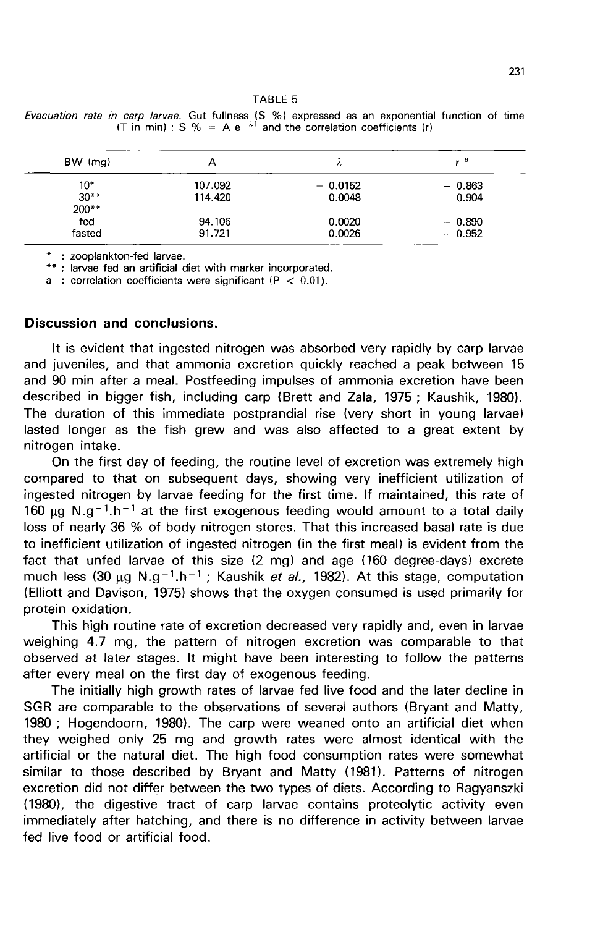**TABLE 5** *Evacuation rate in carp larvae*. Gut fullness (S %) expressed as an exponential function of time (T in min) : S % = A e<sup>- $\lambda$ T</sup> and the correlation coefficients (r)

| $BW$ (mg) | А       |           | . а      |
|-----------|---------|-----------|----------|
| 10*       | 107.092 | $-0.0152$ | $-0.863$ |
| $30**$    | 114.420 | $-0.0048$ | $-0.904$ |
| $200**$   |         |           |          |
| fed       | 94.106  | $-0.0020$ | $-0.890$ |
| fasted    | 91.721  | $-0.0026$ | $-0.952$ |

\* : zooplankton-fed larvae.

\*\*: larvae fed an artificial diet with marker incorporated.

a : correlation coefficients were significant ( $P < 0.01$ ).

### Discussion and conclusions.

It is evident that ingested nitrogen was absorbed very rapidly by carp larvae and iuveniles, and that ammonia excretion quickly reached a peak between 15 and 90 min after a meal. Postfeeding impulses of ammonia excretion have been described in bigger fish, including carp (Brett and Zala, 1975 ; Kaushik, 1980). The duration of this immediate postprandial rise (very short in young larvae) lasted longer as the fish grew and was also affected to a great extent by nitrogen intake.

On the first day of feeding, the routine level of excretion was extremely high compared to that on subsequent days, showing very inefficient utilization of ingested nitrogen by larvae feeding for the first time. If maintained, this rate of Introgen intake.<br>
On the first day of feeding, the routine level of excretion was extremely high<br>
compared to that on subsequent days, showing very inefficient utilization of<br>
ingested nitrogen by larvae feeding for the f loss of nearly 36 % of body nitrogen stores. That this increased basal rate is due to inefficient utilization of ingested nitrogen (in the first meal) is evident from the fact that unfed larvae of this size (2 mg) and age (160 degree-days) excrete much less (30 µg N.g<sup>-1</sup>.h<sup>-1</sup>; Kaushik *et al.*, 1982). At this stage, computation ingested nitrogen by larvae feeding for the first time. If maintained, this rate of 160  $\mu$ g N.g<sup>-1</sup>.h<sup>-1</sup> at the first exogenous feeding would amount to a total daily loss of nearly 36 % of body nitrogen stores. That th (Elliott and Davison, 1975) shows that the oxygen consumed is used primarily for protein oxidation.

This high routine rate of excretion decreased very rapidly and, even in larvae weighing 4.7 mg, the pattern of nitrogen excretion was comparable to that observed at later stages. It might have been interesting to follow the patterns after every meal on the first day of exogenous feeding.

The initially high growth rates of larvae fed live food and the later decline in SGR are comparable to the observations of several authors (Bryant and Matty, 1980 ; Hogendoorn, 1980). The carp were weaned onto an artificial diet when they weighed only 25 mg and growth rates were almost identical with the artificial or the natural diet. The high food consumption rates were somewhat similar to those described by Bryant and Matty (1981). Patterns of nitrogen excretion did not differ between the two types of diets. According to Ragyanszki (1980), the digestive tract of carp larvae contains proteolytic activity even immediately after hatching, and there is no difference in activity between larvae fed live food or artificial food.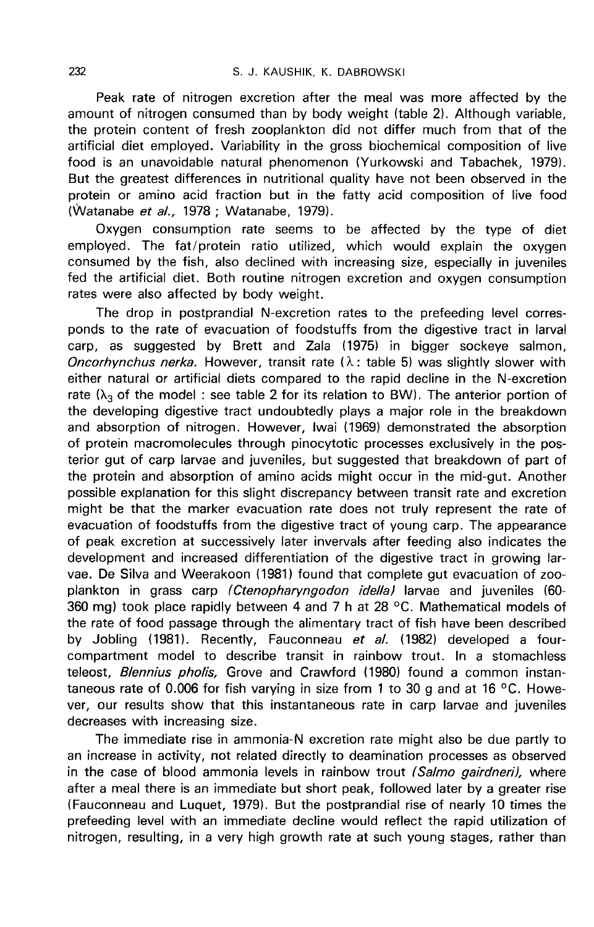Peak rate of nitrogen excretion after the meal was more affected by the amount of nitrogen consumed than by body weight (table 2). Although variable, the protein content of fresh zooplankton did not differ much from that of the artificial diet employed. Variability in the gross biochemical composition of live food is an unavoidable natural phenomenon (Yurkowski and Tabachek, 1979). But the greatest differences in nutritional quality have not been observed in the protein or amino acid fraction but in the fatty acid composition of live food (Watanabe et al., 1978 ; Watanabe, 1979).

Oxygen consumption rate seems to be affected by the type of diet employed. The fat/protein ratio utilized, which would explain the oxygen consumed by the fish, also declined with increasing size, especially in juveniles fed the artificial diet. Both routine nitrogen excretion and oxygen consumption rates were also affected by body weight.

The drop in postprandial N-excretion rates to the prefeeding level corresponds to the rate of evacuation of foodstuffs from the digestive tract in larval carp, as suggested by Brett and Zala (1975) in bigger sockeye salmon, Oncorhynchus nerka. However, transit rate  $(\lambda; t)$  table 5) was slightly slower with either natural or artificial diets compared to the rapid decline in the N-excretion rate ( $\lambda_3$  of the model : see table 2 for its relation to BW). The anterior portion of the developing digestive tract undoubtedly plays a major role in the breakdown and absorption of nitrogen. However, Iwai (1969) demonstrated the absorption of protein macromolecules through pinocytotic processes exclusively in the posterior gut of carp larvae and juveniles, but suggested that breakdown of part of the protein and absorption of amino acids might occur in the mid-gut. Another possible explanation for this slight discrepancy between transit rate and excretion might be that the marker evacuation rate does not truly represent the rate of evacuation of foodstuffs from the digestive tract of young carp. The appearance of peak excretion at successively later invervals after feeding also indicates the development and increased differentiation of the digestive tract in growing larvae. De Silva and Weerakoon (1981) found that complete gut evacuation of zooplankton in grass carp (Ctenopharyngodon idella) larvae and juveniles (60-360 mg) took place rapidly between 4 and 7 h at 28 °C. Mathematical models of the rate of food passage through the alimentary tract of fish have been described by Jobling (1981). Recently, Fauconneau et al. (1982) developed a fourcompartment model to describe transit in rainbow trout. In a stomachless teleost, Blennius pholis, Grove and Crawford (1980) found a common instantaneous rate of 0.006 for fish varying in size from 1 to 30 g and at 16 °C. However, our results show that this instantaneous rate in carp larvae and juveniles decreases with increasing size.

The immediate rise in ammonia-N excretion rate might also be due partly to an increase in activity, not related directly to deamination processes as observed in the case of blood ammonia levels in rainbow trout (Salmo gairdneri), where after a meal there is an immediate but short peak, followed later by a greater rise (Fauconneau and Luquet, 1979). But the postprandial rise of nearly 10 times the prefeeding level with an immediate decline would reflect the rapid utilization of nitrogen, resulting, in a very high growth rate at such young stages, rather than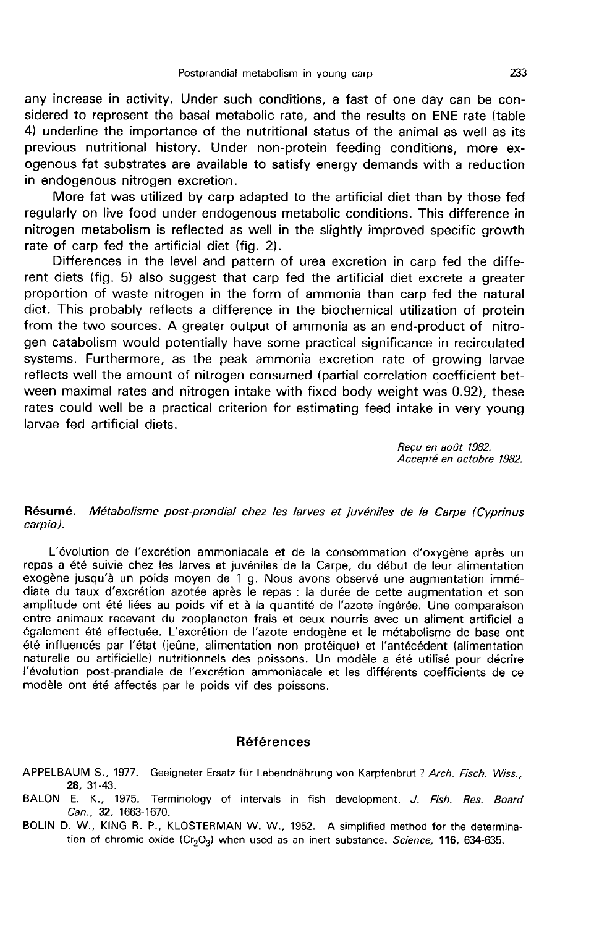any increase in activity. Under such conditions, a fast of one day can be considered to represent the basal metabolic rate, and the results on ENE rate (table 4) underline the importance of the nutritional status of the animal as well as its previous nutritional history. Under non-protein feeding conditions, more exogenous fat substrates are available to satisfy energy demands with a reduction in endogenous nitrogen excretion.

More fat was utilized by carp adapted to the artificial diet than by those fed regularly on live food under endogenous metabolic conditions. This difference in nitrogen metabolism is reflected as well in the slightly improved specific growth rate of carp fed the artificial diet (fig. 2).

Differences in the level and pattern of urea excretion in carp fed the different diets (fig. 5) also suggest that carp fed the artificial diet excrete a greater proportion of waste nitrogen in the form of ammonia than carp fed the natural diet. This probably reflects a difference in the biochemical utilization of protein from the two sources. A greater output of ammonia as an end-product of nitrogen catabolism would potentially have some practical significance in recirculated systems. Furthermore, as the peak ammonia excretion rate of growing larvae reflects well the amount of nitrogen consumed (partial correlation coefficient between maximal rates and nitrogen intake with fixed body weight was 0.92), these rates could well be a practical criterion for estimating feed intake in very young larvae fed artificial diets.

Reçu en août 1982.<br>Accepté en octobre 1982.

#### Résumé. Métabolisme post-prandial chez les larves et juvéniles de la Carpe (cyprinus carpioJ.

L'évolution de l'excrétion ammoniacale et de la consommation d'oxygène après un repas a été suivie chez les larves et juvéniles de la Carpe, du début de leur alimentation exogène jusqu'à un poids moyen de 1 g. Nous avons observé une augmentation immédiate du taux d'excrétion azotée après le repas : la durée de cette augmentation et son<br>amplitude ont été liées au poids vif et à la quantité de l'azote ingérée. Une comparaison entre animaux recevant du zooplancton frais et ceux nourris avec un aliment artificiel a également été effectuée. L'excrétion de l'azote endogène et le métabolisme de base ont été influencés par l'état (jeûne, alimentation non protéique) et l'antécédent (alimentation naturelle ou artificielle) nutritionnels des poissons. Un modèle a été utilisé pour décrire l'évolution post-prandiale de l'excrétion ammoniacale et les différents coefficients de ce modèle ont été affectés par le poids vif des poissons.

#### **Références**

- APPELBAUM S., 1977. Geeigneter Ersatz für Lebendnährung von Karpfenbrut ? Arch. Fisch. Wiss., 28, 31-43.
- BALON E. K., 1975. Terminology of intervals in fish development. J. Fish. Res. Board Can., 32, 1663-1670.
- BOLIN D. W., KING R. P., KLOSTERMAN W. W., 1952. A simplified method for the determina-Can., 32, 1663-1670.<br>Can., 32, 1663-1670.<br>W., KING R. P., KLOSTERMAN W. W., 1952. A simplified method for the determ<br>tion of chromic oxide  $(Cr_2O_3)$  when used as an inert substance. Science, 116, 634-635.